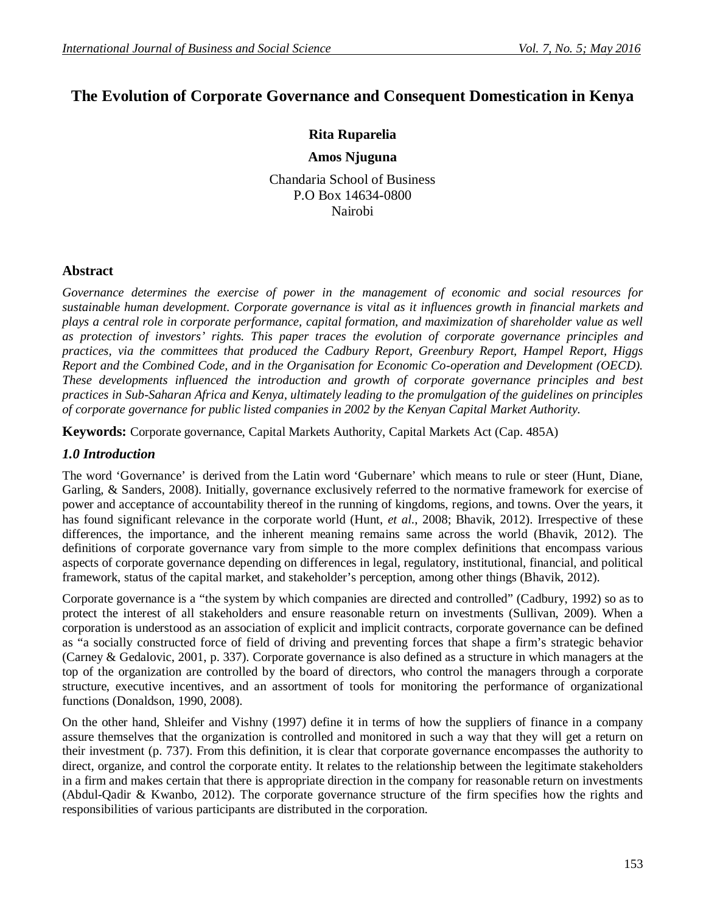# **The Evolution of Corporate Governance and Consequent Domestication in Kenya**

# **Rita Ruparelia**

### **Amos Njuguna**

Chandaria School of Business P.O Box 14634-0800 Nairobi

# **Abstract**

*Governance determines the exercise of power in the management of economic and social resources for sustainable human development. Corporate governance is vital as it influences growth in financial markets and plays a central role in corporate performance, capital formation, and maximization of shareholder value as well as protection of investors' rights. This paper traces the evolution of corporate governance principles and practices, via the committees that produced the Cadbury Report, Greenbury Report, Hampel Report, Higgs Report and the Combined Code, and in the Organisation for Economic Co-operation and Development (OECD). These developments influenced the introduction and growth of corporate governance principles and best practices in Sub-Saharan Africa and Kenya, ultimately leading to the promulgation of the guidelines on principles of corporate governance for public listed companies in 2002 by the Kenyan Capital Market Authority.*

**Keywords:** Corporate governance, Capital Markets Authority, Capital Markets Act (Cap. 485A)

# *1.0 Introduction*

The word 'Governance' is derived from the Latin word 'Gubernare' which means to rule or steer (Hunt, Diane, Garling, & Sanders, 2008). Initially, governance exclusively referred to the normative framework for exercise of power and acceptance of accountability thereof in the running of kingdoms, regions, and towns. Over the years, it has found significant relevance in the corporate world (Hunt, *et al*., 2008; Bhavik, 2012). Irrespective of these differences, the importance, and the inherent meaning remains same across the world (Bhavik, 2012). The definitions of corporate governance vary from simple to the more complex definitions that encompass various aspects of corporate governance depending on differences in legal, regulatory, institutional, financial, and political framework, status of the capital market, and stakeholder's perception, among other things (Bhavik, 2012).

Corporate governance is a "the system by which companies are directed and controlled" (Cadbury, 1992) so as to protect the interest of all stakeholders and ensure reasonable return on investments (Sullivan, 2009). When a corporation is understood as an association of explicit and implicit contracts, corporate governance can be defined as "a socially constructed force of field of driving and preventing forces that shape a firm's strategic behavior (Carney & Gedalovic, 2001, p. 337). Corporate governance is also defined as a structure in which managers at the top of the organization are controlled by the board of directors, who control the managers through a corporate structure, executive incentives, and an assortment of tools for monitoring the performance of organizational functions (Donaldson, 1990, 2008).

On the other hand, Shleifer and Vishny (1997) define it in terms of how the suppliers of finance in a company assure themselves that the organization is controlled and monitored in such a way that they will get a return on their investment (p. 737). From this definition, it is clear that corporate governance encompasses the authority to direct, organize, and control the corporate entity. It relates to the relationship between the legitimate stakeholders in a firm and makes certain that there is appropriate direction in the company for reasonable return on investments (Abdul-Qadir & Kwanbo, 2012). The corporate governance structure of the firm specifies how the rights and responsibilities of various participants are distributed in the corporation.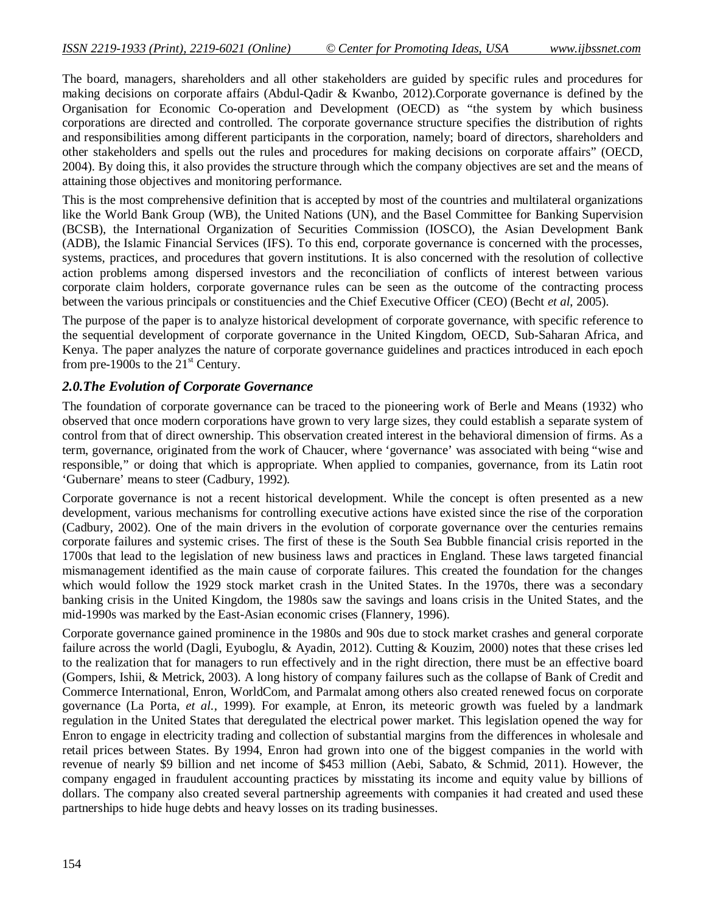The board, managers, shareholders and all other stakeholders are guided by specific rules and procedures for making decisions on corporate affairs (Abdul-Qadir & Kwanbo, 2012).Corporate governance is defined by the Organisation for Economic Co-operation and Development (OECD) as "the system by which business corporations are directed and controlled. The corporate governance structure specifies the distribution of rights and responsibilities among different participants in the corporation, namely; board of directors, shareholders and other stakeholders and spells out the rules and procedures for making decisions on corporate affairs" (OECD, 2004). By doing this, it also provides the structure through which the company objectives are set and the means of attaining those objectives and monitoring performance.

This is the most comprehensive definition that is accepted by most of the countries and multilateral organizations like the World Bank Group (WB), the United Nations (UN), and the Basel Committee for Banking Supervision (BCSB), the International Organization of Securities Commission (IOSCO), the Asian Development Bank (ADB), the Islamic Financial Services (IFS). To this end, corporate governance is concerned with the processes, systems, practices, and procedures that govern institutions. It is also concerned with the resolution of collective action problems among dispersed investors and the reconciliation of conflicts of interest between various corporate claim holders, corporate governance rules can be seen as the outcome of the contracting process between the various principals or constituencies and the Chief Executive Officer (CEO) (Becht *et al*, 2005).

The purpose of the paper is to analyze historical development of corporate governance, with specific reference to the sequential development of corporate governance in the United Kingdom, OECD, Sub-Saharan Africa, and Kenya. The paper analyzes the nature of corporate governance guidelines and practices introduced in each epoch from pre-1900s to the  $21<sup>st</sup>$  Century.

# *2.0.The Evolution of Corporate Governance*

The foundation of corporate governance can be traced to the pioneering work of Berle and Means (1932) who observed that once modern corporations have grown to very large sizes, they could establish a separate system of control from that of direct ownership. This observation created interest in the behavioral dimension of firms. As a term, governance, originated from the work of Chaucer, where 'governance' was associated with being "wise and responsible," or doing that which is appropriate. When applied to companies, governance, from its Latin root 'Gubernare' means to steer (Cadbury, 1992).

Corporate governance is not a recent historical development. While the concept is often presented as a new development, various mechanisms for controlling executive actions have existed since the rise of the corporation (Cadbury, 2002). One of the main drivers in the evolution of corporate governance over the centuries remains corporate failures and systemic crises. The first of these is the South Sea Bubble financial crisis reported in the 1700s that lead to the legislation of new business laws and practices in England. These laws targeted financial mismanagement identified as the main cause of corporate failures. This created the foundation for the changes which would follow the 1929 stock market crash in the United States. In the 1970s, there was a secondary banking crisis in the United Kingdom, the 1980s saw the savings and loans crisis in the United States, and the mid-1990s was marked by the East-Asian economic crises (Flannery, 1996).

Corporate governance gained prominence in the 1980s and 90s due to stock market crashes and general corporate failure across the world (Dagli, Eyuboglu, & Ayadin, 2012). Cutting & Kouzim, 2000) notes that these crises led to the realization that for managers to run effectively and in the right direction, there must be an effective board (Gompers, Ishii, & Metrick, 2003). A long history of company failures such as the collapse of Bank of Credit and Commerce International, Enron, WorldCom, and Parmalat among others also created renewed focus on corporate governance (La Porta, *et al.,* 1999). For example, at Enron, its meteoric growth was fueled by a landmark regulation in the United States that deregulated the electrical power market. This legislation opened the way for Enron to engage in electricity trading and collection of substantial margins from the differences in wholesale and retail prices between States. By 1994, Enron had grown into one of the biggest companies in the world with revenue of nearly \$9 billion and net income of \$453 million (Aebi, Sabato, & Schmid, 2011). However, the company engaged in fraudulent accounting practices by misstating its income and equity value by billions of dollars. The company also created several partnership agreements with companies it had created and used these partnerships to hide huge debts and heavy losses on its trading businesses.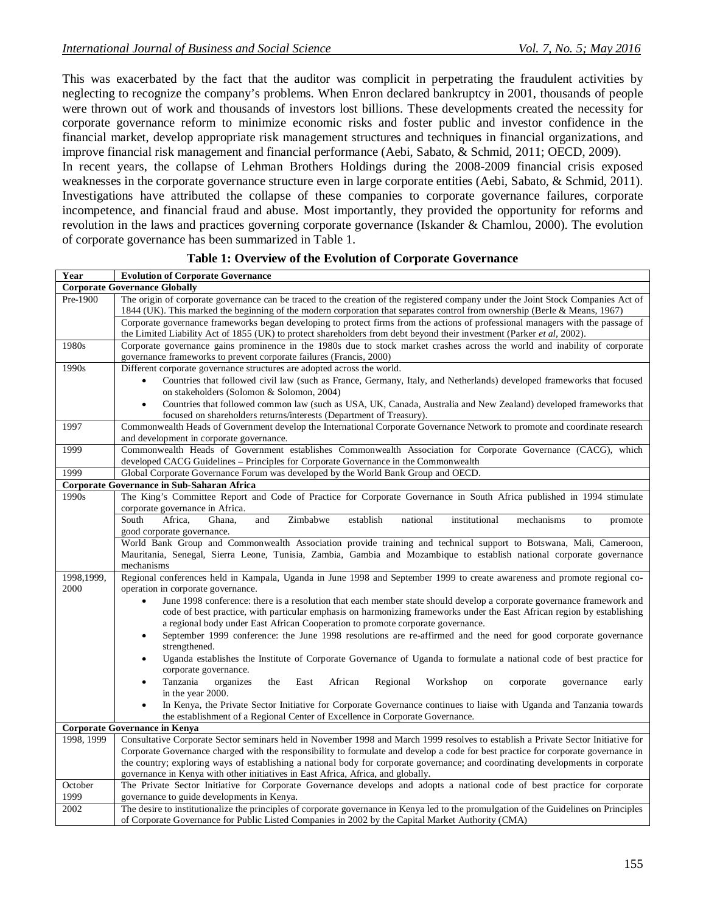This was exacerbated by the fact that the auditor was complicit in perpetrating the fraudulent activities by neglecting to recognize the company's problems. When Enron declared bankruptcy in 2001, thousands of people were thrown out of work and thousands of investors lost billions. These developments created the necessity for corporate governance reform to minimize economic risks and foster public and investor confidence in the financial market, develop appropriate risk management structures and techniques in financial organizations, and improve financial risk management and financial performance (Aebi, Sabato, & Schmid, 2011; OECD, 2009). In recent years, the collapse of Lehman Brothers Holdings during the 2008-2009 financial crisis exposed

weaknesses in the corporate governance structure even in large corporate entities (Aebi, Sabato, & Schmid, 2011). Investigations have attributed the collapse of these companies to corporate governance failures, corporate incompetence, and financial fraud and abuse. Most importantly, they provided the opportunity for reforms and revolution in the laws and practices governing corporate governance (Iskander & Chamlou, 2000). The evolution of corporate governance has been summarized in Table 1.

| Year                                 | <b>Evolution of Corporate Governance</b>                                                                                                                                                                                                                        |
|--------------------------------------|-----------------------------------------------------------------------------------------------------------------------------------------------------------------------------------------------------------------------------------------------------------------|
| <b>Corporate Governance Globally</b> |                                                                                                                                                                                                                                                                 |
| Pre-1900                             | The origin of corporate governance can be traced to the creation of the registered company under the Joint Stock Companies Act of<br>1844 (UK). This marked the beginning of the modern corporation that separates control from ownership (Berle & Means, 1967) |
|                                      | Corporate governance frameworks began developing to protect firms from the actions of professional managers with the passage of<br>the Limited Liability Act of 1855 (UK) to protect shareholders from debt beyond their investment (Parker et al, 2002).       |
| 1980s                                | Corporate governance gains prominence in the 1980s due to stock market crashes across the world and inability of corporate                                                                                                                                      |
|                                      | governance frameworks to prevent corporate failures (Francis, 2000)                                                                                                                                                                                             |
| 1990s                                | Different corporate governance structures are adopted across the world.                                                                                                                                                                                         |
|                                      | Countries that followed civil law (such as France, Germany, Italy, and Netherlands) developed frameworks that focused                                                                                                                                           |
|                                      | on stakeholders (Solomon & Solomon, 2004)                                                                                                                                                                                                                       |
|                                      | Countries that followed common law (such as USA, UK, Canada, Australia and New Zealand) developed frameworks that<br>$\bullet$                                                                                                                                  |
|                                      | focused on shareholders returns/interests (Department of Treasury).                                                                                                                                                                                             |
| 1997                                 | Commonwealth Heads of Government develop the International Corporate Governance Network to promote and coordinate research                                                                                                                                      |
|                                      | and development in corporate governance.                                                                                                                                                                                                                        |
| 1999                                 | Commonwealth Heads of Government establishes Commonwealth Association for Corporate Governance (CACG), which                                                                                                                                                    |
| 1999                                 | developed CACG Guidelines - Principles for Corporate Governance in the Commonwealth<br>Global Corporate Governance Forum was developed by the World Bank Group and OECD.                                                                                        |
|                                      | Corporate Governance in Sub-Saharan Africa                                                                                                                                                                                                                      |
| 1990s                                | The King's Committee Report and Code of Practice for Corporate Governance in South Africa published in 1994 stimulate                                                                                                                                           |
|                                      | corporate governance in Africa.                                                                                                                                                                                                                                 |
|                                      | Zimbabwe<br>establish<br>national<br>Africa,<br>Ghana,<br>and<br>institutional<br>South<br>mechanisms<br>promote<br>to                                                                                                                                          |
|                                      | good corporate governance.                                                                                                                                                                                                                                      |
|                                      | World Bank Group and Commonwealth Association provide training and technical support to Botswana, Mali, Cameroon,                                                                                                                                               |
|                                      | Mauritania, Senegal, Sierra Leone, Tunisia, Zambia, Gambia and Mozambique to establish national corporate governance                                                                                                                                            |
|                                      | mechanisms                                                                                                                                                                                                                                                      |
| 1998,1999,                           | Regional conferences held in Kampala, Uganda in June 1998 and September 1999 to create awareness and promote regional co-                                                                                                                                       |
| 2000                                 | operation in corporate governance.                                                                                                                                                                                                                              |
|                                      | June 1998 conference: there is a resolution that each member state should develop a corporate governance framework and<br>$\bullet$                                                                                                                             |
|                                      | code of best practice, with particular emphasis on harmonizing frameworks under the East African region by establishing                                                                                                                                         |
|                                      | a regional body under East African Cooperation to promote corporate governance.<br>September 1999 conference: the June 1998 resolutions are re-affirmed and the need for good corporate governance<br>$\bullet$                                                 |
|                                      | strengthened.                                                                                                                                                                                                                                                   |
|                                      | Uganda establishes the Institute of Corporate Governance of Uganda to formulate a national code of best practice for<br>٠                                                                                                                                       |
|                                      | corporate governance.                                                                                                                                                                                                                                           |
|                                      | Tanzania<br>organizes<br>the<br>East<br>African<br>Regional<br>Workshop<br>on<br>corporate<br>early<br>governance<br>$\bullet$                                                                                                                                  |
|                                      | in the year 2000.                                                                                                                                                                                                                                               |
|                                      | In Kenya, the Private Sector Initiative for Corporate Governance continues to liaise with Uganda and Tanzania towards<br>$\bullet$                                                                                                                              |
|                                      | the establishment of a Regional Center of Excellence in Corporate Governance.                                                                                                                                                                                   |
| <b>Corporate Governance in Kenya</b> |                                                                                                                                                                                                                                                                 |
| 1998, 1999                           | Consultative Corporate Sector seminars held in November 1998 and March 1999 resolves to establish a Private Sector Initiative for                                                                                                                               |
|                                      | Corporate Governance charged with the responsibility to formulate and develop a code for best practice for corporate governance in                                                                                                                              |
|                                      | the country; exploring ways of establishing a national body for corporate governance; and coordinating developments in corporate                                                                                                                                |
|                                      | governance in Kenya with other initiatives in East Africa, Africa, and globally.                                                                                                                                                                                |
| October<br>1999                      | The Private Sector Initiative for Corporate Governance develops and adopts a national code of best practice for corporate                                                                                                                                       |
| 2002                                 | governance to guide developments in Kenya.<br>The desire to institutionalize the principles of corporate governance in Kenya led to the promulgation of the Guidelines on Principles                                                                            |
|                                      | of Corporate Governance for Public Listed Companies in 2002 by the Capital Market Authority (CMA)                                                                                                                                                               |

#### **Table 1: Overview of the Evolution of Corporate Governance**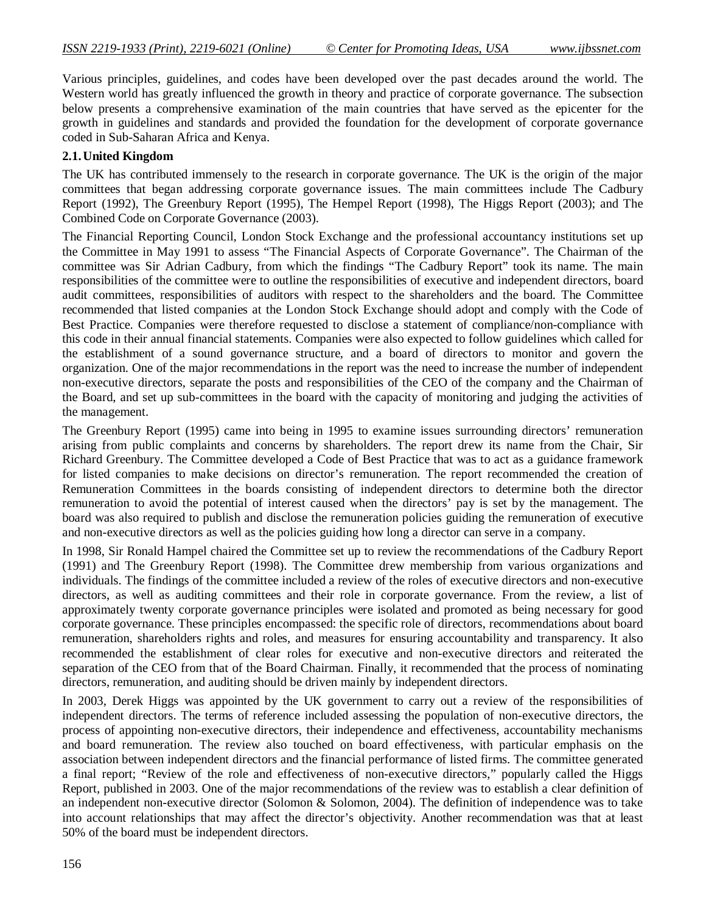Various principles, guidelines, and codes have been developed over the past decades around the world. The Western world has greatly influenced the growth in theory and practice of corporate governance. The subsection below presents a comprehensive examination of the main countries that have served as the epicenter for the growth in guidelines and standards and provided the foundation for the development of corporate governance coded in Sub-Saharan Africa and Kenya.

# **2.1.United Kingdom**

The UK has contributed immensely to the research in corporate governance. The UK is the origin of the major committees that began addressing corporate governance issues. The main committees include The Cadbury Report (1992), The Greenbury Report (1995), The Hempel Report (1998), The Higgs Report (2003); and The Combined Code on Corporate Governance (2003).

The Financial Reporting Council, London Stock Exchange and the professional accountancy institutions set up the Committee in May 1991 to assess "The Financial Aspects of Corporate Governance". The Chairman of the committee was Sir Adrian Cadbury, from which the findings "The Cadbury Report" took its name. The main responsibilities of the committee were to outline the responsibilities of executive and independent directors, board audit committees, responsibilities of auditors with respect to the shareholders and the board. The Committee recommended that listed companies at the London Stock Exchange should adopt and comply with the Code of Best Practice. Companies were therefore requested to disclose a statement of compliance/non-compliance with this code in their annual financial statements. Companies were also expected to follow guidelines which called for the establishment of a sound governance structure, and a board of directors to monitor and govern the organization. One of the major recommendations in the report was the need to increase the number of independent non-executive directors, separate the posts and responsibilities of the CEO of the company and the Chairman of the Board, and set up sub-committees in the board with the capacity of monitoring and judging the activities of the management.

The Greenbury Report (1995) came into being in 1995 to examine issues surrounding directors' remuneration arising from public complaints and concerns by shareholders. The report drew its name from the Chair, Sir Richard Greenbury. The Committee developed a Code of Best Practice that was to act as a guidance framework for listed companies to make decisions on director's remuneration. The report recommended the creation of Remuneration Committees in the boards consisting of independent directors to determine both the director remuneration to avoid the potential of interest caused when the directors' pay is set by the management. The board was also required to publish and disclose the remuneration policies guiding the remuneration of executive and non-executive directors as well as the policies guiding how long a director can serve in a company.

In 1998, Sir Ronald Hampel chaired the Committee set up to review the recommendations of the Cadbury Report (1991) and The Greenbury Report (1998). The Committee drew membership from various organizations and individuals. The findings of the committee included a review of the roles of executive directors and non-executive directors, as well as auditing committees and their role in corporate governance. From the review, a list of approximately twenty corporate governance principles were isolated and promoted as being necessary for good corporate governance. These principles encompassed: the specific role of directors, recommendations about board remuneration, shareholders rights and roles, and measures for ensuring accountability and transparency. It also recommended the establishment of clear roles for executive and non-executive directors and reiterated the separation of the CEO from that of the Board Chairman. Finally, it recommended that the process of nominating directors, remuneration, and auditing should be driven mainly by independent directors.

In 2003, Derek Higgs was appointed by the UK government to carry out a review of the responsibilities of independent directors. The terms of reference included assessing the population of non-executive directors, the process of appointing non-executive directors, their independence and effectiveness, accountability mechanisms and board remuneration. The review also touched on board effectiveness, with particular emphasis on the association between independent directors and the financial performance of listed firms. The committee generated a final report; "Review of the role and effectiveness of non-executive directors," popularly called the Higgs Report, published in 2003. One of the major recommendations of the review was to establish a clear definition of an independent non-executive director (Solomon & Solomon, 2004). The definition of independence was to take into account relationships that may affect the director's objectivity. Another recommendation was that at least 50% of the board must be independent directors.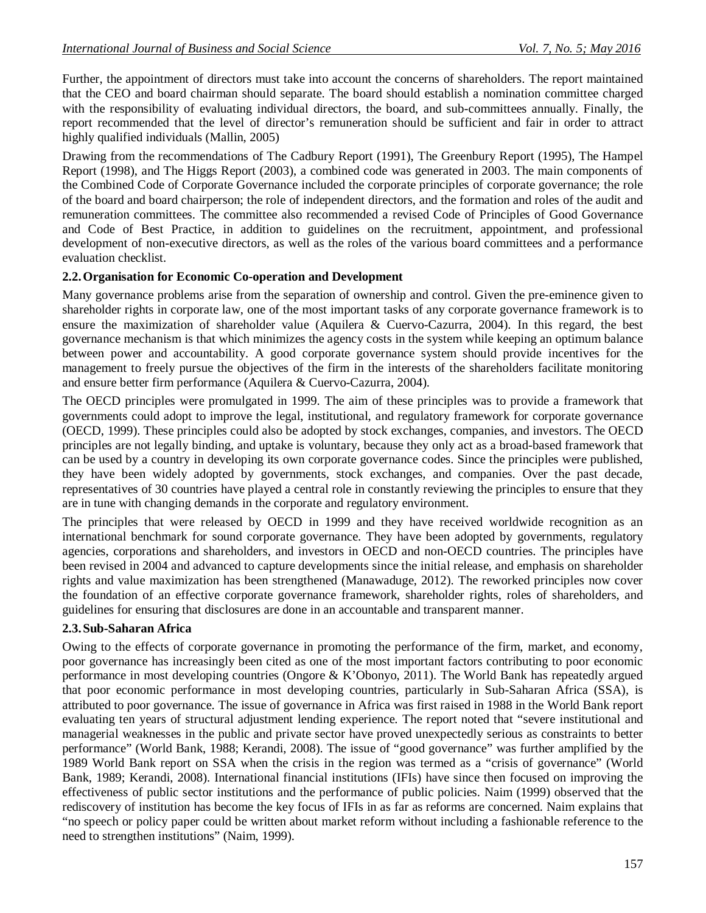Further, the appointment of directors must take into account the concerns of shareholders. The report maintained that the CEO and board chairman should separate. The board should establish a nomination committee charged with the responsibility of evaluating individual directors, the board, and sub-committees annually. Finally, the report recommended that the level of director's remuneration should be sufficient and fair in order to attract highly qualified individuals (Mallin, 2005)

Drawing from the recommendations of The Cadbury Report (1991), The Greenbury Report (1995), The Hampel Report (1998), and The Higgs Report (2003), a combined code was generated in 2003. The main components of the Combined Code of Corporate Governance included the corporate principles of corporate governance; the role of the board and board chairperson; the role of independent directors, and the formation and roles of the audit and remuneration committees. The committee also recommended a revised Code of Principles of Good Governance and Code of Best Practice, in addition to guidelines on the recruitment, appointment, and professional development of non-executive directors, as well as the roles of the various board committees and a performance evaluation checklist.

#### **2.2.Organisation for Economic Co-operation and Development**

Many governance problems arise from the separation of ownership and control. Given the pre-eminence given to shareholder rights in corporate law, one of the most important tasks of any corporate governance framework is to ensure the maximization of shareholder value (Aquilera & Cuervo-Cazurra, 2004). In this regard, the best governance mechanism is that which minimizes the agency costs in the system while keeping an optimum balance between power and accountability. A good corporate governance system should provide incentives for the management to freely pursue the objectives of the firm in the interests of the shareholders facilitate monitoring and ensure better firm performance (Aquilera & Cuervo-Cazurra, 2004).

The OECD principles were promulgated in 1999. The aim of these principles was to provide a framework that governments could adopt to improve the legal, institutional, and regulatory framework for corporate governance (OECD, 1999). These principles could also be adopted by stock exchanges, companies, and investors. The OECD principles are not legally binding, and uptake is voluntary, because they only act as a broad-based framework that can be used by a country in developing its own corporate governance codes. Since the principles were published, they have been widely adopted by governments, stock exchanges, and companies. Over the past decade, representatives of 30 countries have played a central role in constantly reviewing the principles to ensure that they are in tune with changing demands in the corporate and regulatory environment.

The principles that were released by OECD in 1999 and they have received worldwide recognition as an international benchmark for sound corporate governance. They have been adopted by governments, regulatory agencies, corporations and shareholders, and investors in OECD and non-OECD countries. The principles have been revised in 2004 and advanced to capture developments since the initial release, and emphasis on shareholder rights and value maximization has been strengthened (Manawaduge, 2012). The reworked principles now cover the foundation of an effective corporate governance framework, shareholder rights, roles of shareholders, and guidelines for ensuring that disclosures are done in an accountable and transparent manner.

# **2.3.Sub-Saharan Africa**

Owing to the effects of corporate governance in promoting the performance of the firm, market, and economy, poor governance has increasingly been cited as one of the most important factors contributing to poor economic performance in most developing countries (Ongore & K'Obonyo, 2011). The World Bank has repeatedly argued that poor economic performance in most developing countries, particularly in Sub-Saharan Africa (SSA), is attributed to poor governance. The issue of governance in Africa was first raised in 1988 in the World Bank report evaluating ten years of structural adjustment lending experience. The report noted that "severe institutional and managerial weaknesses in the public and private sector have proved unexpectedly serious as constraints to better performance" (World Bank, 1988; Kerandi, 2008). The issue of "good governance" was further amplified by the 1989 World Bank report on SSA when the crisis in the region was termed as a "crisis of governance" (World Bank, 1989; Kerandi, 2008). International financial institutions (IFIs) have since then focused on improving the effectiveness of public sector institutions and the performance of public policies. Naim (1999) observed that the rediscovery of institution has become the key focus of IFIs in as far as reforms are concerned. Naim explains that "no speech or policy paper could be written about market reform without including a fashionable reference to the need to strengthen institutions" (Naim, 1999).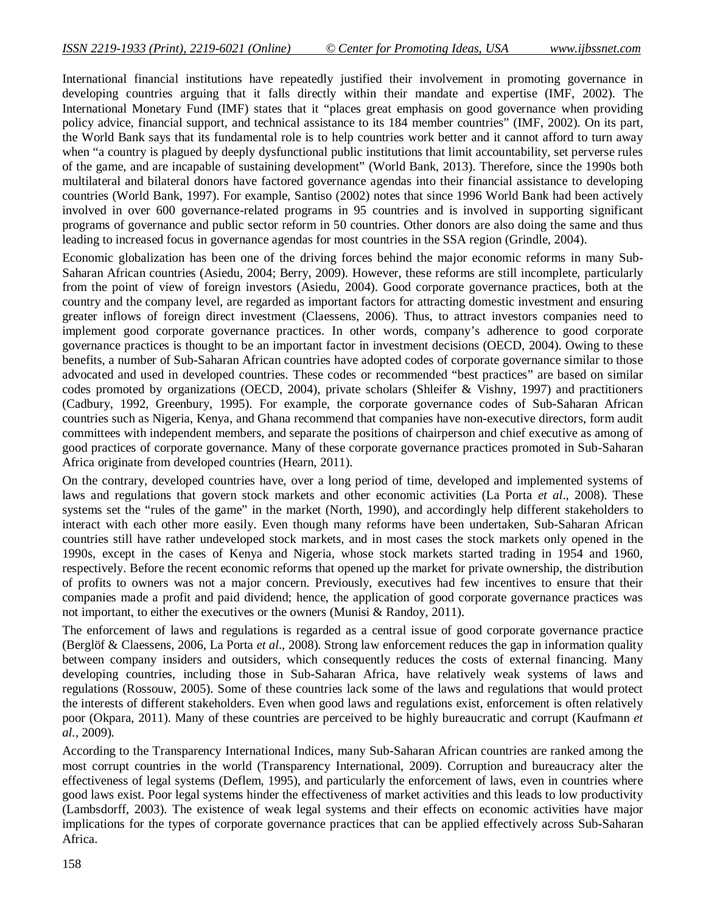International financial institutions have repeatedly justified their involvement in promoting governance in developing countries arguing that it falls directly within their mandate and expertise (IMF, 2002). The International Monetary Fund (IMF) states that it "places great emphasis on good governance when providing policy advice, financial support, and technical assistance to its 184 member countries" (IMF, 2002). On its part, the World Bank says that its fundamental role is to help countries work better and it cannot afford to turn away when "a country is plagued by deeply dysfunctional public institutions that limit accountability, set perverse rules of the game, and are incapable of sustaining development" (World Bank, 2013). Therefore, since the 1990s both multilateral and bilateral donors have factored governance agendas into their financial assistance to developing countries (World Bank, 1997). For example, Santiso (2002) notes that since 1996 World Bank had been actively involved in over 600 governance-related programs in 95 countries and is involved in supporting significant programs of governance and public sector reform in 50 countries. Other donors are also doing the same and thus leading to increased focus in governance agendas for most countries in the SSA region (Grindle, 2004).

Economic globalization has been one of the driving forces behind the major economic reforms in many Sub-Saharan African countries (Asiedu, 2004; Berry, 2009). However, these reforms are still incomplete, particularly from the point of view of foreign investors (Asiedu, 2004). Good corporate governance practices, both at the country and the company level, are regarded as important factors for attracting domestic investment and ensuring greater inflows of foreign direct investment (Claessens, 2006). Thus, to attract investors companies need to implement good corporate governance practices. In other words, company's adherence to good corporate governance practices is thought to be an important factor in investment decisions (OECD, 2004). Owing to these benefits, a number of Sub-Saharan African countries have adopted codes of corporate governance similar to those advocated and used in developed countries. These codes or recommended "best practices" are based on similar codes promoted by organizations (OECD, 2004), private scholars (Shleifer & Vishny, 1997) and practitioners (Cadbury, 1992, Greenbury, 1995). For example, the corporate governance codes of Sub-Saharan African countries such as Nigeria, Kenya, and Ghana recommend that companies have non-executive directors, form audit committees with independent members, and separate the positions of chairperson and chief executive as among of good practices of corporate governance. Many of these corporate governance practices promoted in Sub-Saharan Africa originate from developed countries (Hearn, 2011).

On the contrary, developed countries have, over a long period of time, developed and implemented systems of laws and regulations that govern stock markets and other economic activities (La Porta *et al*., 2008). These systems set the "rules of the game" in the market (North, 1990), and accordingly help different stakeholders to interact with each other more easily. Even though many reforms have been undertaken, Sub-Saharan African countries still have rather undeveloped stock markets, and in most cases the stock markets only opened in the 1990s, except in the cases of Kenya and Nigeria, whose stock markets started trading in 1954 and 1960, respectively. Before the recent economic reforms that opened up the market for private ownership, the distribution of profits to owners was not a major concern. Previously, executives had few incentives to ensure that their companies made a profit and paid dividend; hence, the application of good corporate governance practices was not important, to either the executives or the owners (Munisi & Randoy, 2011).

The enforcement of laws and regulations is regarded as a central issue of good corporate governance practice (Berglöf & Claessens, 2006, La Porta *et al*., 2008). Strong law enforcement reduces the gap in information quality between company insiders and outsiders, which consequently reduces the costs of external financing. Many developing countries, including those in Sub-Saharan Africa, have relatively weak systems of laws and regulations (Rossouw, 2005). Some of these countries lack some of the laws and regulations that would protect the interests of different stakeholders. Even when good laws and regulations exist, enforcement is often relatively poor (Okpara, 2011). Many of these countries are perceived to be highly bureaucratic and corrupt (Kaufmann *et al.,* 2009).

According to the Transparency International Indices, many Sub-Saharan African countries are ranked among the most corrupt countries in the world (Transparency International, 2009). Corruption and bureaucracy alter the effectiveness of legal systems (Deflem, 1995), and particularly the enforcement of laws, even in countries where good laws exist. Poor legal systems hinder the effectiveness of market activities and this leads to low productivity (Lambsdorff, 2003). The existence of weak legal systems and their effects on economic activities have major implications for the types of corporate governance practices that can be applied effectively across Sub-Saharan Africa.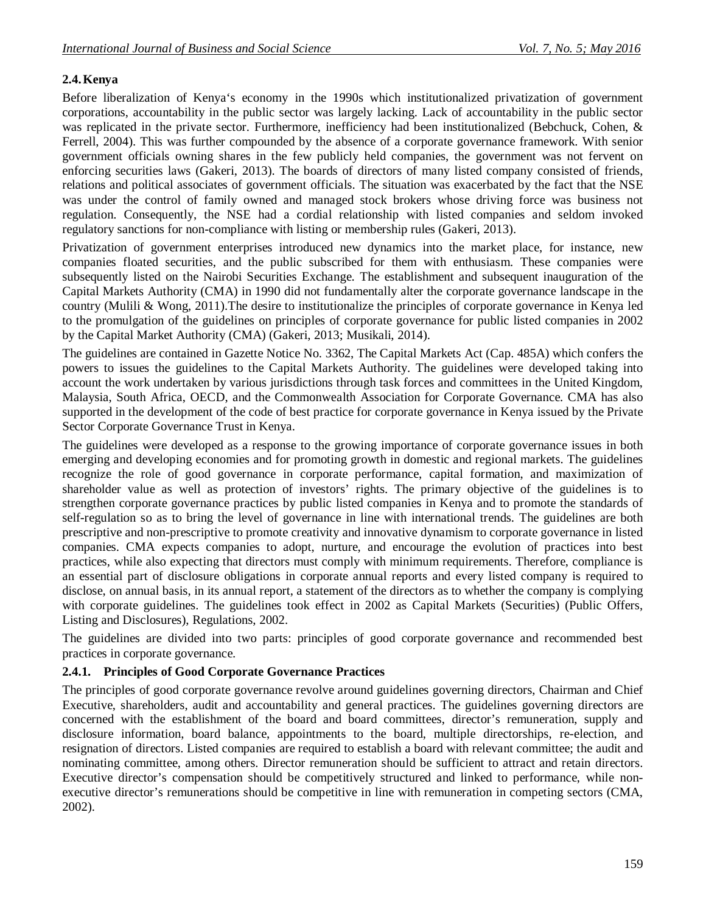# **2.4.Kenya**

Before liberalization of Kenya's economy in the 1990s which institutionalized privatization of government corporations, accountability in the public sector was largely lacking. Lack of accountability in the public sector was replicated in the private sector. Furthermore, inefficiency had been institutionalized (Bebchuck, Cohen, & Ferrell, 2004). This was further compounded by the absence of a corporate governance framework. With senior government officials owning shares in the few publicly held companies, the government was not fervent on enforcing securities laws (Gakeri, 2013). The boards of directors of many listed company consisted of friends, relations and political associates of government officials. The situation was exacerbated by the fact that the NSE was under the control of family owned and managed stock brokers whose driving force was business not regulation. Consequently, the NSE had a cordial relationship with listed companies and seldom invoked regulatory sanctions for non-compliance with listing or membership rules (Gakeri, 2013).

Privatization of government enterprises introduced new dynamics into the market place, for instance, new companies floated securities, and the public subscribed for them with enthusiasm. These companies were subsequently listed on the Nairobi Securities Exchange. The establishment and subsequent inauguration of the Capital Markets Authority (CMA) in 1990 did not fundamentally alter the corporate governance landscape in the country (Mulili & Wong, 2011).The desire to institutionalize the principles of corporate governance in Kenya led to the promulgation of the guidelines on principles of corporate governance for public listed companies in 2002 by the Capital Market Authority (CMA) (Gakeri, 2013; Musikali, 2014).

The guidelines are contained in Gazette Notice No. 3362, The Capital Markets Act (Cap. 485A) which confers the powers to issues the guidelines to the Capital Markets Authority. The guidelines were developed taking into account the work undertaken by various jurisdictions through task forces and committees in the United Kingdom, Malaysia, South Africa, OECD, and the Commonwealth Association for Corporate Governance. CMA has also supported in the development of the code of best practice for corporate governance in Kenya issued by the Private Sector Corporate Governance Trust in Kenya.

The guidelines were developed as a response to the growing importance of corporate governance issues in both emerging and developing economies and for promoting growth in domestic and regional markets. The guidelines recognize the role of good governance in corporate performance, capital formation, and maximization of shareholder value as well as protection of investors' rights. The primary objective of the guidelines is to strengthen corporate governance practices by public listed companies in Kenya and to promote the standards of self-regulation so as to bring the level of governance in line with international trends. The guidelines are both prescriptive and non-prescriptive to promote creativity and innovative dynamism to corporate governance in listed companies. CMA expects companies to adopt, nurture, and encourage the evolution of practices into best practices, while also expecting that directors must comply with minimum requirements. Therefore, compliance is an essential part of disclosure obligations in corporate annual reports and every listed company is required to disclose, on annual basis, in its annual report, a statement of the directors as to whether the company is complying with corporate guidelines. The guidelines took effect in 2002 as Capital Markets (Securities) (Public Offers, Listing and Disclosures), Regulations, 2002.

The guidelines are divided into two parts: principles of good corporate governance and recommended best practices in corporate governance.

#### **2.4.1. Principles of Good Corporate Governance Practices**

The principles of good corporate governance revolve around guidelines governing directors, Chairman and Chief Executive, shareholders, audit and accountability and general practices. The guidelines governing directors are concerned with the establishment of the board and board committees, director's remuneration, supply and disclosure information, board balance, appointments to the board, multiple directorships, re-election, and resignation of directors. Listed companies are required to establish a board with relevant committee; the audit and nominating committee, among others. Director remuneration should be sufficient to attract and retain directors. Executive director's compensation should be competitively structured and linked to performance, while nonexecutive director's remunerations should be competitive in line with remuneration in competing sectors (CMA, 2002).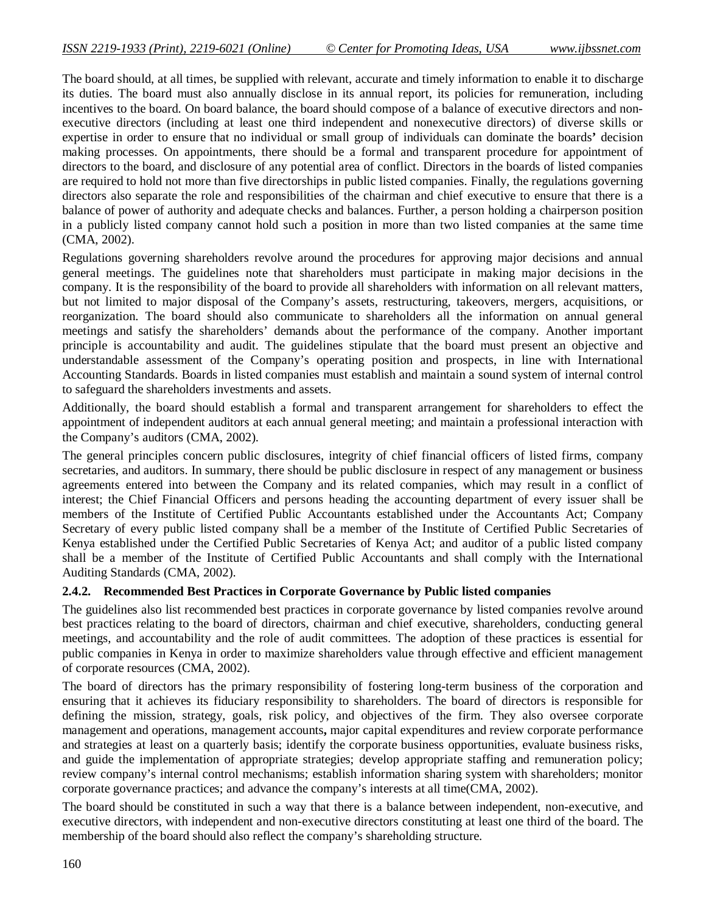The board should, at all times, be supplied with relevant, accurate and timely information to enable it to discharge its duties. The board must also annually disclose in its annual report, its policies for remuneration, including incentives to the board. On board balance, the board should compose of a balance of executive directors and nonexecutive directors (including at least one third independent and nonexecutive directors) of diverse skills or expertise in order to ensure that no individual or small group of individuals can dominate the boards**'** decision making processes. On appointments, there should be a formal and transparent procedure for appointment of directors to the board, and disclosure of any potential area of conflict. Directors in the boards of listed companies are required to hold not more than five directorships in public listed companies. Finally, the regulations governing directors also separate the role and responsibilities of the chairman and chief executive to ensure that there is a balance of power of authority and adequate checks and balances. Further, a person holding a chairperson position in a publicly listed company cannot hold such a position in more than two listed companies at the same time (CMA, 2002).

Regulations governing shareholders revolve around the procedures for approving major decisions and annual general meetings. The guidelines note that shareholders must participate in making major decisions in the company. It is the responsibility of the board to provide all shareholders with information on all relevant matters, but not limited to major disposal of the Company's assets, restructuring, takeovers, mergers, acquisitions, or reorganization. The board should also communicate to shareholders all the information on annual general meetings and satisfy the shareholders' demands about the performance of the company. Another important principle is accountability and audit. The guidelines stipulate that the board must present an objective and understandable assessment of the Company's operating position and prospects, in line with International Accounting Standards. Boards in listed companies must establish and maintain a sound system of internal control to safeguard the shareholders investments and assets.

Additionally, the board should establish a formal and transparent arrangement for shareholders to effect the appointment of independent auditors at each annual general meeting; and maintain a professional interaction with the Company's auditors (CMA, 2002).

The general principles concern public disclosures, integrity of chief financial officers of listed firms, company secretaries, and auditors. In summary, there should be public disclosure in respect of any management or business agreements entered into between the Company and its related companies, which may result in a conflict of interest; the Chief Financial Officers and persons heading the accounting department of every issuer shall be members of the Institute of Certified Public Accountants established under the Accountants Act; Company Secretary of every public listed company shall be a member of the Institute of Certified Public Secretaries of Kenya established under the Certified Public Secretaries of Kenya Act; and auditor of a public listed company shall be a member of the Institute of Certified Public Accountants and shall comply with the International Auditing Standards (CMA, 2002).

# **2.4.2. Recommended Best Practices in Corporate Governance by Public listed companies**

The guidelines also list recommended best practices in corporate governance by listed companies revolve around best practices relating to the board of directors, chairman and chief executive, shareholders, conducting general meetings, and accountability and the role of audit committees. The adoption of these practices is essential for public companies in Kenya in order to maximize shareholders value through effective and efficient management of corporate resources (CMA, 2002).

The board of directors has the primary responsibility of fostering long-term business of the corporation and ensuring that it achieves its fiduciary responsibility to shareholders. The board of directors is responsible for defining the mission, strategy, goals, risk policy, and objectives of the firm. They also oversee corporate management and operations, management accounts**,** major capital expenditures and review corporate performance and strategies at least on a quarterly basis; identify the corporate business opportunities, evaluate business risks, and guide the implementation of appropriate strategies; develop appropriate staffing and remuneration policy; review company's internal control mechanisms; establish information sharing system with shareholders; monitor corporate governance practices; and advance the company's interests at all time(CMA, 2002).

The board should be constituted in such a way that there is a balance between independent, non-executive, and executive directors, with independent and non-executive directors constituting at least one third of the board. The membership of the board should also reflect the company's shareholding structure.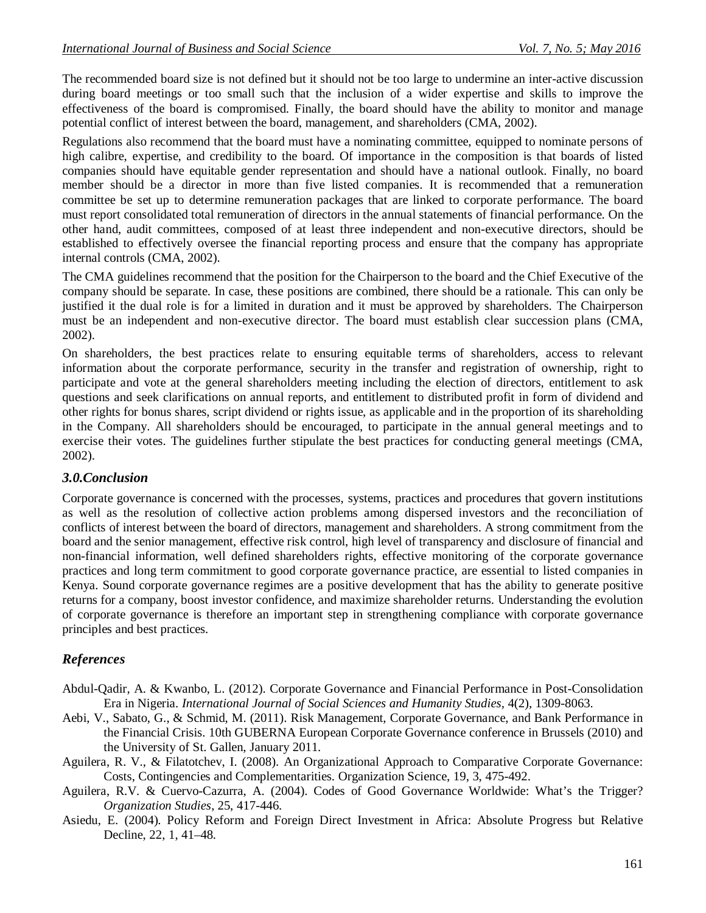The recommended board size is not defined but it should not be too large to undermine an inter-active discussion during board meetings or too small such that the inclusion of a wider expertise and skills to improve the effectiveness of the board is compromised. Finally, the board should have the ability to monitor and manage potential conflict of interest between the board, management, and shareholders (CMA, 2002).

Regulations also recommend that the board must have a nominating committee, equipped to nominate persons of high calibre, expertise, and credibility to the board. Of importance in the composition is that boards of listed companies should have equitable gender representation and should have a national outlook. Finally, no board member should be a director in more than five listed companies. It is recommended that a remuneration committee be set up to determine remuneration packages that are linked to corporate performance. The board must report consolidated total remuneration of directors in the annual statements of financial performance. On the other hand, audit committees, composed of at least three independent and non-executive directors, should be established to effectively oversee the financial reporting process and ensure that the company has appropriate internal controls (CMA, 2002).

The CMA guidelines recommend that the position for the Chairperson to the board and the Chief Executive of the company should be separate. In case, these positions are combined, there should be a rationale. This can only be justified it the dual role is for a limited in duration and it must be approved by shareholders. The Chairperson must be an independent and non-executive director. The board must establish clear succession plans (CMA, 2002).

On shareholders, the best practices relate to ensuring equitable terms of shareholders, access to relevant information about the corporate performance, security in the transfer and registration of ownership, right to participate and vote at the general shareholders meeting including the election of directors, entitlement to ask questions and seek clarifications on annual reports, and entitlement to distributed profit in form of dividend and other rights for bonus shares, script dividend or rights issue, as applicable and in the proportion of its shareholding in the Company. All shareholders should be encouraged, to participate in the annual general meetings and to exercise their votes. The guidelines further stipulate the best practices for conducting general meetings (CMA, 2002).

# *3.0.Conclusion*

Corporate governance is concerned with the processes, systems, practices and procedures that govern institutions as well as the resolution of collective action problems among dispersed investors and the reconciliation of conflicts of interest between the board of directors, management and shareholders. A strong commitment from the board and the senior management, effective risk control, high level of transparency and disclosure of financial and non-financial information, well defined shareholders rights, effective monitoring of the corporate governance practices and long term commitment to good corporate governance practice, are essential to listed companies in Kenya. Sound corporate governance regimes are a positive development that has the ability to generate positive returns for a company, boost investor confidence, and maximize shareholder returns. Understanding the evolution of corporate governance is therefore an important step in strengthening compliance with corporate governance principles and best practices.

# *References*

- Abdul-Qadir, A. & Kwanbo, L. (2012). Corporate Governance and Financial Performance in Post-Consolidation Era in Nigeria. *International Journal of Social Sciences and Humanity Studies,* 4(2), 1309-8063.
- Aebi, V., Sabato, G., & Schmid, M. (2011). Risk Management, Corporate Governance, and Bank Performance in the Financial Crisis. 10th GUBERNA European Corporate Governance conference in Brussels (2010) and the University of St. Gallen, January 2011.
- Aguilera, R. V., & Filatotchev, I. (2008). An Organizational Approach to Comparative Corporate Governance: Costs, Contingencies and Complementarities. Organization Science, 19, 3, 475-492.
- Aguilera, R.V. & Cuervo-Cazurra, A. (2004). Codes of Good Governance Worldwide: What's the Trigger? *Organization Studies*, 25, 417-446.
- Asiedu, E. (2004). Policy Reform and Foreign Direct Investment in Africa: Absolute Progress but Relative Decline, 22, 1, 41–48.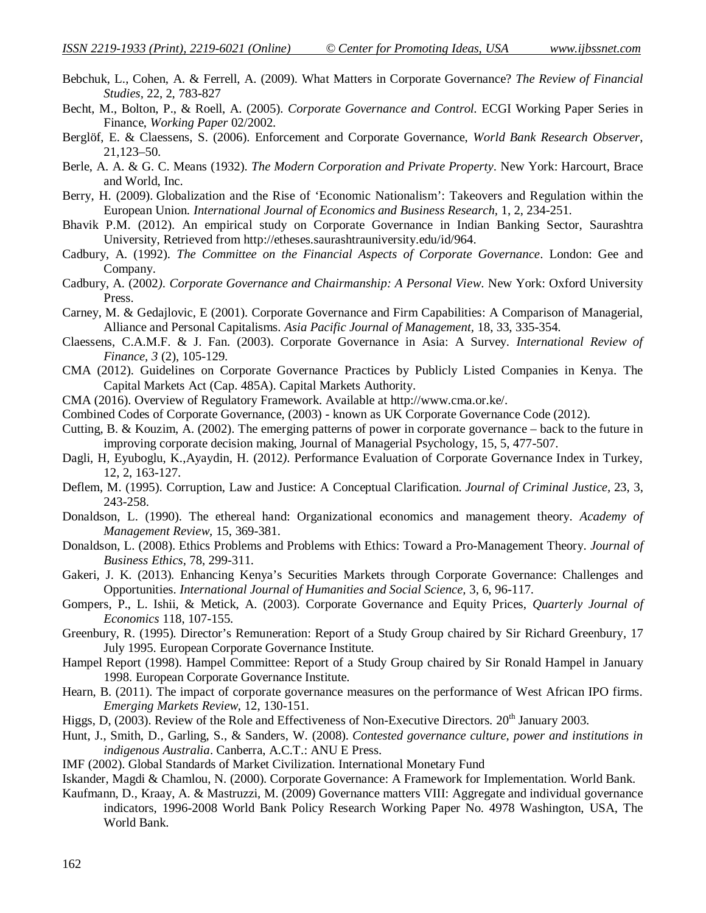- Bebchuk, L., Cohen, A. & Ferrell, A. (2009). What Matters in Corporate Governance? *The Review of Financial Studies,* 22, 2, 783-827
- Becht, M., Bolton, P., & Roell, A. (2005). *Corporate Governance and Control.* ECGI Working Paper Series in Finance, *Working Paper* 02/2002.
- Berglöf, E. & Claessens, S. (2006). Enforcement and Corporate Governance, *World Bank Research Observer*, 21,123–50.
- Berle, A. A. & G. C. Means (1932). *The Modern Corporation and Private Property*. New York: Harcourt, Brace and World, Inc.
- Berry, H. (2009). Globalization and the Rise of 'Economic Nationalism': Takeovers and Regulation within the European Union*. International Journal of Economics and Business Research,* 1, 2, 234-251.
- Bhavik P.M. (2012). An empirical study on Corporate Governance in Indian Banking Sector, Saurashtra University, Retrieved from http://etheses.saurashtrauniversity.edu/id/964.
- Cadbury, A. (1992). *The Committee on the Financial Aspects of Corporate Governance*. London: Gee and Company.
- Cadbury, A. (2002*). Corporate Governance and Chairmanship: A Personal View*. New York: Oxford University Press.
- Carney, M. & Gedajlovic, E (2001). Corporate Governance and Firm Capabilities: A Comparison of Managerial, Alliance and Personal Capitalisms. *Asia Pacific Journal of Management,* 18, 33, 335-354.
- Claessens, C.A.M.F. & J. Fan. (2003). Corporate Governance in Asia: A Survey. *International Review of Finance, 3* (2), 105-129.
- CMA (2012). Guidelines on Corporate Governance Practices by Publicly Listed Companies in Kenya. The Capital Markets Act (Cap. 485A). Capital Markets Authority.
- CMA (2016). Overview of Regulatory Framework. Available at http://www.cma.or.ke/.
- Combined Codes of Corporate Governance, (2003) known as UK Corporate Governance Code (2012).
- Cutting, B. & Kouzim, A. (2002). The emerging patterns of power in corporate governance back to the future in improving corporate decision making, Journal of Managerial Psychology, 15, 5, 477-507.
- Dagli*,* H*,* Eyuboglu, K.,Ayaydin*,* H. (2012*).* Performance Evaluation of Corporate Governance Index in Turkey, 12, 2, 163-127.
- Deflem, M. (1995). Corruption, Law and Justice: A Conceptual Clarification. *Journal of Criminal Justice,* 23, 3, 243-258.
- Donaldson, L. (1990). The ethereal hand: Organizational economics and management theory. *Academy of Management Review,* 15, 369-381.
- Donaldson, L. (2008). Ethics Problems and Problems with Ethics: Toward a Pro-Management Theory. *Journal of Business Ethics*, 78, 299-311.
- Gakeri, J. K. (2013). Enhancing Kenya's Securities Markets through Corporate Governance: Challenges and Opportunities. *International Journal of Humanities and Social Science,* 3, 6, 96-117.
- Gompers, P., L. Ishii, & Metick, A. (2003). Corporate Governance and Equity Prices, *Quarterly Journal of Economics* 118, 107-155.
- Greenbury, R. (1995). Director's Remuneration: Report of a Study Group chaired by Sir Richard Greenbury, 17 July 1995. European Corporate Governance Institute.
- Hampel Report (1998). Hampel Committee: Report of a Study Group chaired by Sir Ronald Hampel in January 1998. European Corporate Governance Institute.
- Hearn, B. (2011). The impact of corporate governance measures on the performance of West African IPO firms. *Emerging Markets Review*, 12, 130-151.
- Higgs, D, (2003). Review of the Role and Effectiveness of Non-Executive Directors. 20<sup>th</sup> January 2003.
- Hunt, J., Smith, D., Garling, S., & Sanders, W. (2008). *Contested governance culture, power and institutions in indigenous Australia*. Canberra, A.C.T.: ANU E Press.
- IMF (2002). Global Standards of Market Civilization. International Monetary Fund

Iskander, Magdi & Chamlou, N. (2000). Corporate Governance: A Framework for Implementation. World Bank.

Kaufmann, D., Kraay, A. & Mastruzzi, M. (2009) Governance matters VIII: Aggregate and individual governance indicators, 1996-2008 World Bank Policy Research Working Paper No. 4978 Washington, USA, The World Bank.